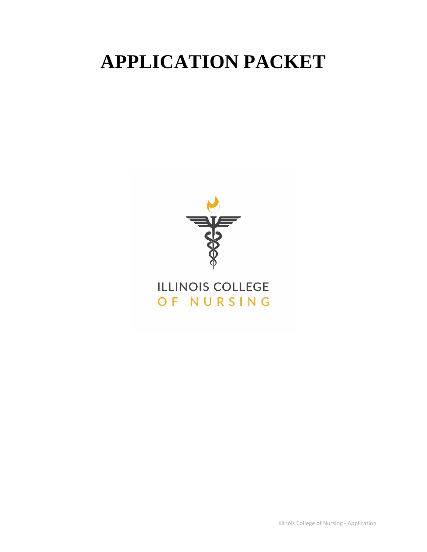# **APPLICATION PACKET**



Illinois College of Nursing - Application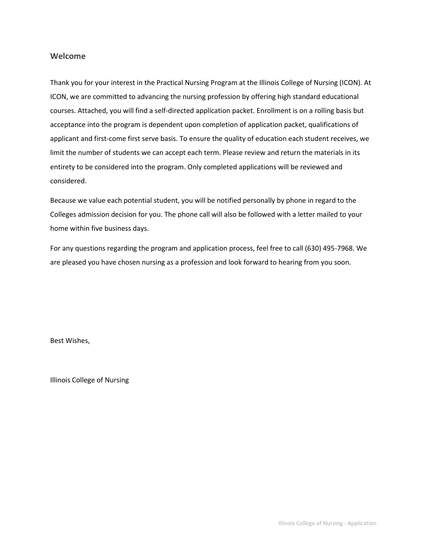#### **Welcome**

Thank you for your interest in the Practical Nursing Program at the Illinois College of Nursing (ICON). At ICON, we are committed to advancing the nursing profession by offering high standard educational courses. Attached, you will find a self-directed application packet. Enrollment is on a rolling basis but acceptance into the program is dependent upon completion of application packet, qualifications of applicant and first-come first serve basis. To ensure the quality of education each student receives, we limit the number of students we can accept each term. Please review and return the materials in its entirety to be considered into the program. Only completed applications will be reviewed and considered.

Because we value each potential student, you will be notified personally by phone in regard to the Colleges admission decision for you. The phone call will also be followed with a letter mailed to your home within five business days.

For any questions regarding the program and application process, feel free to call (630) 495-7968. We are pleased you have chosen nursing as a profession and look forward to hearing from you soon.

Best Wishes,

Illinois College of Nursing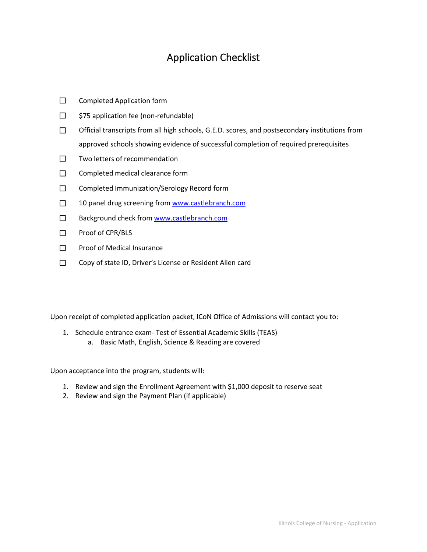### Application Checklist

- ☐ Completed Application form
- ☐ \$75 application fee (non-refundable)
- ☐ Official transcripts from all high schools, G.E.D. scores, and postsecondary institutions from approved schools showing evidence of successful completion of required prerequisites
- ☐ Two letters of recommendation
- □ Completed medical clearance form
- ☐ Completed Immunization/Serology Record form
- □ 10 panel drug screening from [www.castlebranch.com](http://www.castlebranch.com/)
- □ Background check from [www.castlebranch.com](http://www.castlebranch.com/)
- ☐ Proof of CPR/BLS
- ☐ Proof of Medical Insurance
- ☐ Copy of state ID, Driver's License or Resident Alien card

Upon receipt of completed application packet, ICoN Office of Admissions will contact you to:

1. Schedule entrance exam- Test of Essential Academic Skills (TEAS) a. Basic Math, English, Science & Reading are covered

Upon acceptance into the program, students will:

- 1. Review and sign the Enrollment Agreement with \$1,000 deposit to reserve seat
- 2. Review and sign the Payment Plan (if applicable)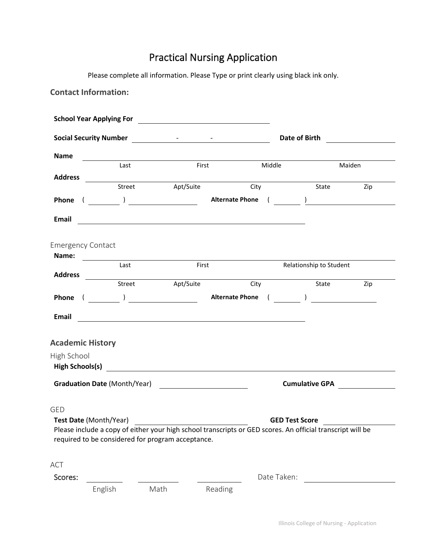## Practical Nursing Application

Please complete all information. Please Type or print clearly using black ink only.

|                           | <b>Contact Information:</b>         |                                                                                                                               |                                                                                                            |                              |                                                |
|---------------------------|-------------------------------------|-------------------------------------------------------------------------------------------------------------------------------|------------------------------------------------------------------------------------------------------------|------------------------------|------------------------------------------------|
|                           |                                     |                                                                                                                               |                                                                                                            |                              |                                                |
|                           |                                     |                                                                                                                               |                                                                                                            | Date of Birth                | <u> 1990 - Jan Barat III, prestavlja i pre</u> |
| <b>Name</b>               |                                     | <u> 1980 - Johann Barn, mars ann an t-Amhain Aonaich an t-Aonaich an t-Aonaich ann an t-Aonaich ann an t-Aonaich</u><br>First | Middle                                                                                                     |                              | Maiden                                         |
| <b>Address</b>            | Last                                |                                                                                                                               |                                                                                                            |                              |                                                |
|                           | Street                              | Apt/Suite                                                                                                                     | City                                                                                                       | State                        | Zip                                            |
|                           |                                     |                                                                                                                               |                                                                                                            |                              |                                                |
| Email                     |                                     |                                                                                                                               |                                                                                                            |                              |                                                |
| <b>Emergency Contact</b>  |                                     |                                                                                                                               |                                                                                                            |                              |                                                |
| Name:                     |                                     | First                                                                                                                         |                                                                                                            | Relationship to Student      |                                                |
|                           | Last                                |                                                                                                                               |                                                                                                            |                              |                                                |
|                           |                                     |                                                                                                                               | City                                                                                                       | State                        | Zip                                            |
|                           |                                     |                                                                                                                               |                                                                                                            |                              |                                                |
| Email                     |                                     |                                                                                                                               | <u> 1989 - Johann Stein, syntysk politiker (* 1918)</u>                                                    |                              |                                                |
| <b>Academic History</b>   |                                     |                                                                                                                               |                                                                                                            |                              |                                                |
|                           |                                     |                                                                                                                               |                                                                                                            |                              |                                                |
|                           |                                     |                                                                                                                               |                                                                                                            |                              |                                                |
|                           | <b>Graduation Date (Month/Year)</b> | <u> 1989 - Johann Barnett, fransk kongresu</u>                                                                                |                                                                                                            | Cumulative GPA <b>CUMULA</b> |                                                |
| Test Date (Month/Year)    |                                     |                                                                                                                               | Please include a copy of either your high school transcripts or GED scores. An official transcript will be | <b>GED Test Score</b>        |                                                |
| High School<br><b>GED</b> |                                     | required to be considered for program acceptance.                                                                             |                                                                                                            |                              |                                                |
| <b>ACT</b>                |                                     |                                                                                                                               |                                                                                                            |                              |                                                |
| Scores:                   |                                     |                                                                                                                               | Date Taken:                                                                                                |                              |                                                |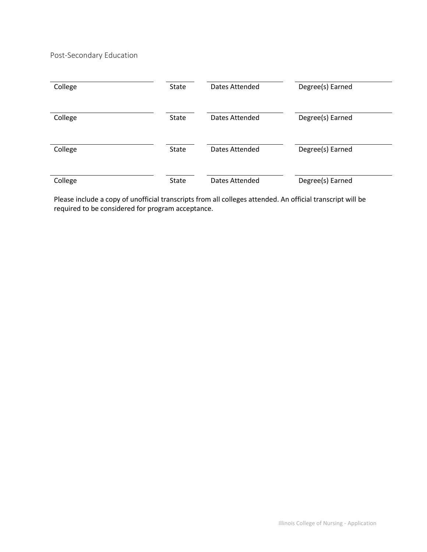Post-Secondary Education

| College | State        | Dates Attended | Degree(s) Earned |
|---------|--------------|----------------|------------------|
| College | State        | Dates Attended | Degree(s) Earned |
| College | <b>State</b> | Dates Attended | Degree(s) Earned |
| College | <b>State</b> | Dates Attended | Degree(s) Earned |

Please include a copy of unofficial transcripts from all colleges attended. An official transcript will be required to be considered for program acceptance.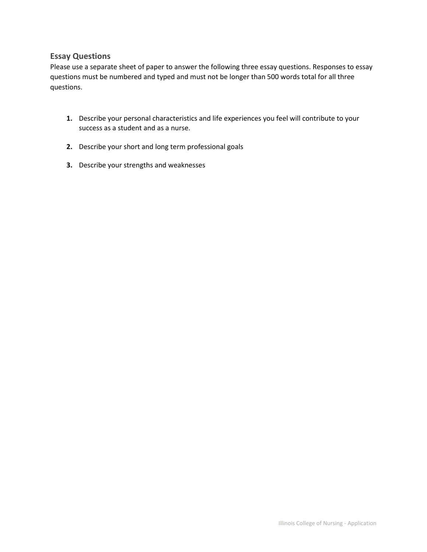#### **Essay Questions**

Please use a separate sheet of paper to answer the following three essay questions. Responses to essay questions must be numbered and typed and must not be longer than 500 words total for all three questions.

- **1.** Describe your personal characteristics and life experiences you feel will contribute to your success as a student and as a nurse.
- **2.** Describe your short and long term professional goals
- **3.** Describe your strengths and weaknesses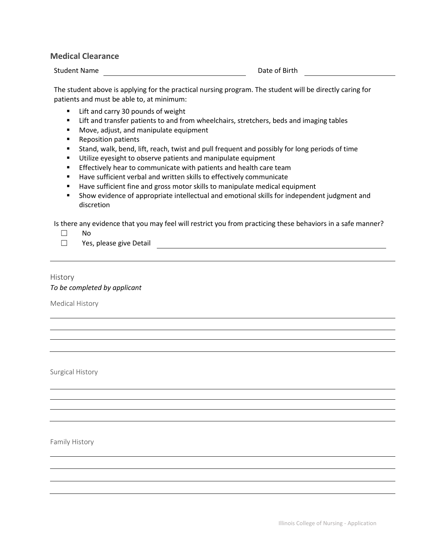#### **Medical Clearance**

Student Name **Date of Birth** Date of Birth

The student above is applying for the practical nursing program. The student will be directly caring for patients and must be able to, at minimum:

- Lift and carry 30 pounds of weight
- Lift and transfer patients to and from wheelchairs, stretchers, beds and imaging tables
- Move, adjust, and manipulate equipment
- Reposition patients
- Stand, walk, bend, lift, reach, twist and pull frequent and possibly for long periods of time
- Utilize eyesight to observe patients and manipulate equipment
- **Effectively hear to communicate with patients and health care team**
- Have sufficient verbal and written skills to effectively communicate
- Have sufficient fine and gross motor skills to manipulate medical equipment
- Show evidence of appropriate intellectual and emotional skills for independent judgment and discretion

Is there any evidence that you may feel will restrict you from practicing these behaviors in a safe manner?

- ☐ No
- ☐ Yes, please give Detail

#### History *To be completed by applicant*

Medical History

Surgical History

Family History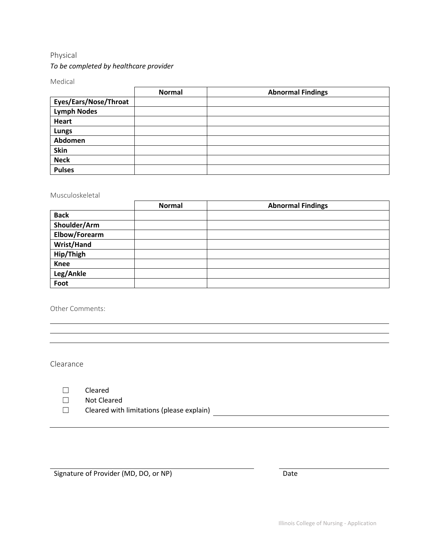#### Physical

#### *To be completed by healthcare provider*

Medical

|                       | <b>Normal</b> | <b>Abnormal Findings</b> |
|-----------------------|---------------|--------------------------|
| Eyes/Ears/Nose/Throat |               |                          |
| <b>Lymph Nodes</b>    |               |                          |
| Heart                 |               |                          |
| <b>Lungs</b>          |               |                          |
| Abdomen               |               |                          |
| <b>Skin</b>           |               |                          |
| <b>Neck</b>           |               |                          |
| <b>Pulses</b>         |               |                          |

#### Musculoskeletal

|                   | <b>Normal</b> | <b>Abnormal Findings</b> |
|-------------------|---------------|--------------------------|
| <b>Back</b>       |               |                          |
| Shoulder/Arm      |               |                          |
| Elbow/Forearm     |               |                          |
| <b>Wrist/Hand</b> |               |                          |
| Hip/Thigh         |               |                          |
| <b>Knee</b>       |               |                          |
| Leg/Ankle         |               |                          |
| Foot              |               |                          |

Other Comments:

Clearance

☐ Not Cleared

☐ Cleared with limitations (please explain)

Signature of Provider (MD, DO, or NP) Date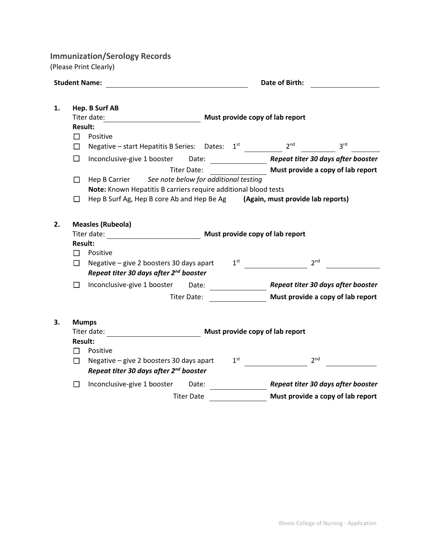**Immunization/Serology Records**

(Please Print Clearly)

|    |                               | <b>Student Name:</b>                                                                                                      |                                   | Date of Birth:                                     |                                    |  |  |
|----|-------------------------------|---------------------------------------------------------------------------------------------------------------------------|-----------------------------------|----------------------------------------------------|------------------------------------|--|--|
| 1. | <b>Result:</b><br>$\Box$<br>П | Hep. B Surf AB<br>Titer date:<br>Positive<br>Negative - start Hepatitis B Series: Dates: 1st                              |                                   | Must provide copy of lab report<br>2 <sup>nd</sup> | 3 <sup>rd</sup>                    |  |  |
|    | □                             | Inconclusive-give 1 booster<br>Date:                                                                                      |                                   |                                                    | Repeat titer 30 days after booster |  |  |
|    |                               | <b>Titer Date:</b>                                                                                                        | Must provide a copy of lab report |                                                    |                                    |  |  |
|    | □                             | See note below for additional testing<br>Hep B Carrier                                                                    |                                   |                                                    |                                    |  |  |
|    |                               | Note: Known Hepatitis B carriers require additional blood tests                                                           |                                   |                                                    |                                    |  |  |
|    | $\Box$                        | Hep B Surf Ag, Hep B core Ab and Hep Be Ag                                                                                |                                   | (Again, must provide lab reports)                  |                                    |  |  |
|    | <b>Result:</b><br>П<br>П      | Titer date:<br>Positive<br>Negative - give 2 boosters 30 days apart<br>Repeat titer 30 days after 2 <sup>nd</sup> booster | 1 <sup>st</sup>                   | Must provide copy of lab report<br>2 <sub>nd</sub> |                                    |  |  |
|    | $\Box$                        | Inconclusive-give 1 booster<br>Date:                                                                                      |                                   |                                                    | Repeat titer 30 days after booster |  |  |
|    |                               | <b>Titer Date:</b>                                                                                                        |                                   |                                                    | Must provide a copy of lab report  |  |  |
|    |                               |                                                                                                                           |                                   |                                                    |                                    |  |  |
| 3. |                               | <b>Mumps</b>                                                                                                              |                                   |                                                    |                                    |  |  |
|    |                               | Titer date:                                                                                                               |                                   | Must provide copy of lab report                    |                                    |  |  |
|    | <b>Result:</b>                |                                                                                                                           |                                   |                                                    |                                    |  |  |
|    | П                             | Positive                                                                                                                  |                                   |                                                    |                                    |  |  |
|    | $\Box$                        | Negative - give 2 boosters 30 days apart                                                                                  | 1 <sup>st</sup>                   | 2 <sub>nd</sub>                                    |                                    |  |  |
|    |                               | Repeat titer 30 days after 2 <sup>nd</sup> booster                                                                        |                                   |                                                    |                                    |  |  |
|    | $\Box$                        | Inconclusive-give 1 booster<br>Date:                                                                                      |                                   |                                                    | Repeat titer 30 days after booster |  |  |
|    |                               | <b>Titer Date</b>                                                                                                         |                                   |                                                    | Must provide a copy of lab report  |  |  |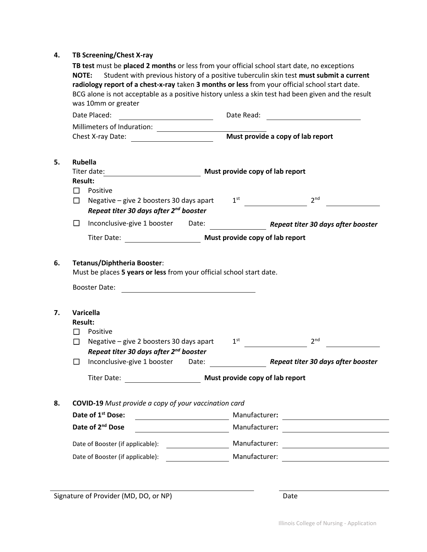#### **4. TB Screening/Chest X-ray**

|         | was 10mm or greater<br>Date Placed:                                                                                         |                                | Date Read:                      |                                                                                                                                                                         |
|---------|-----------------------------------------------------------------------------------------------------------------------------|--------------------------------|---------------------------------|-------------------------------------------------------------------------------------------------------------------------------------------------------------------------|
|         | Millimeters of Induration:                                                                                                  |                                |                                 |                                                                                                                                                                         |
|         | Chest X-ray Date:                                                                                                           |                                |                                 | Must provide a copy of lab report                                                                                                                                       |
|         | <b>Rubella</b>                                                                                                              |                                |                                 |                                                                                                                                                                         |
|         | Titer date:                                                                                                                 |                                |                                 | Must provide copy of lab report                                                                                                                                         |
| $\Box$  | <b>Result:</b><br>Positive                                                                                                  |                                |                                 |                                                                                                                                                                         |
| П       | Negative - give 2 boosters 30 days apart<br>Repeat titer 30 days after 2 <sup>nd</sup> booster                              |                                | 1 <sup>st</sup>                 | 2 <sup>nd</sup>                                                                                                                                                         |
| □       | Inconclusive-give 1 booster                                                                                                 | Date:                          |                                 | Repeat titer 30 days after booster                                                                                                                                      |
|         | <b>Titer Date:</b>                                                                                                          |                                | Must provide copy of lab report |                                                                                                                                                                         |
|         | Tetanus/Diphtheria Booster:<br>Must be places 5 years or less from your official school start date.<br><b>Booster Date:</b> |                                |                                 |                                                                                                                                                                         |
|         | Varicella                                                                                                                   |                                |                                 |                                                                                                                                                                         |
|         | <b>Result:</b>                                                                                                              |                                |                                 |                                                                                                                                                                         |
| П       | Positive                                                                                                                    |                                |                                 |                                                                                                                                                                         |
| $\perp$ | Negative - give 2 boosters 30 days apart                                                                                    |                                | 1 <sup>st</sup>                 | 2 <sup>nd</sup>                                                                                                                                                         |
| □       | Repeat titer 30 days after 2 <sup>nd</sup> booster<br>Inconclusive-give 1 booster                                           | Date:                          |                                 | Repeat titer 30 days after booster                                                                                                                                      |
|         | <b>Titer Date:</b>                                                                                                          |                                |                                 | Must provide copy of lab report                                                                                                                                         |
|         | <b>COVID-19</b> Must provide a copy of your vaccination card                                                                |                                |                                 |                                                                                                                                                                         |
|         | Date of 1 <sup>st</sup> Dose:                                                                                               |                                | Manufacturer:                   |                                                                                                                                                                         |
|         | Date of 2 <sup>nd</sup> Dose                                                                                                |                                |                                 | <u> 1970 - Andrea State Barbara, política establece</u>                                                                                                                 |
|         | Date of Booster (if applicable):                                                                                            | Manufacturer:<br>Manufacturer: |                                 | <u> Alexandria de la contrada de la contrada de la contrada de la contrada de la contrada de la contrada de la c</u><br><u> 1989 - Andrea Station Barbara (h. 1989)</u> |